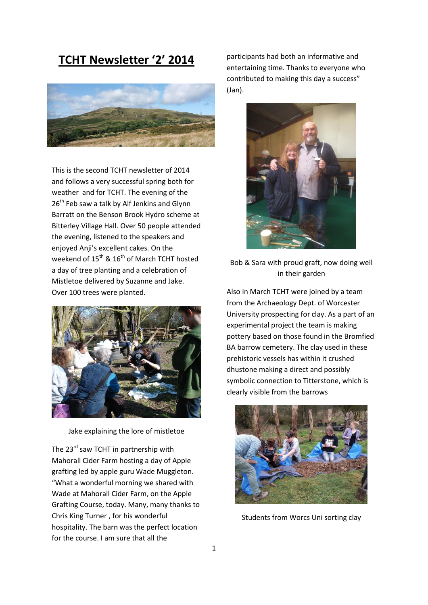# **TCHT Newsletter '2' 2014**



This is the second TCHT newsletter of 2014 and follows a very successful spring both for weather and for TCHT. The evening of the 26<sup>th</sup> Feb saw a talk by Alf Jenkins and Glynn Barratt on the Benson Brook Hydro scheme at Bitterley Village Hall. Over 50 people attended the evening, listened to the speakers and enjoyed Anji's excellent cakes. On the weekend of  $15^{th}$  &  $16^{th}$  of March TCHT hosted a day of tree planting and a celebration of Mistletoe delivered by Suzanne and Jake. Over 100 trees were planted.



Jake explaining the lore of mistletoe

The 23<sup>rd</sup> saw TCHT in partnership with Mahorall Cider Farm hosting a day of Apple grafting led by apple guru Wade Muggleton. "What a wonderful morning we shared with Wade at Mahorall Cider Farm, on the Apple Grafting Course, today. Many, many thanks to Chris King Turner , for his wonderful hospitality. The barn was the perfect location for the course. I am sure that all the

participants had both an informative and entertaining time. Thanks to everyone who contributed to making this day a success" (Jan).



Bob & Sara with proud graft, now doing well in their garden

Also in March TCHT were joined by a team from the Archaeology Dept. of Worcester University prospecting for clay. As a part of an experimental project the team is making pottery based on those found in the Bromfied BA barrow cemetery. The clay used in these prehistoric vessels has within it crushed dhustone making a direct and possibly symbolic connection to Titterstone, which is clearly visible from the barrows



Students from Worcs Uni sorting clay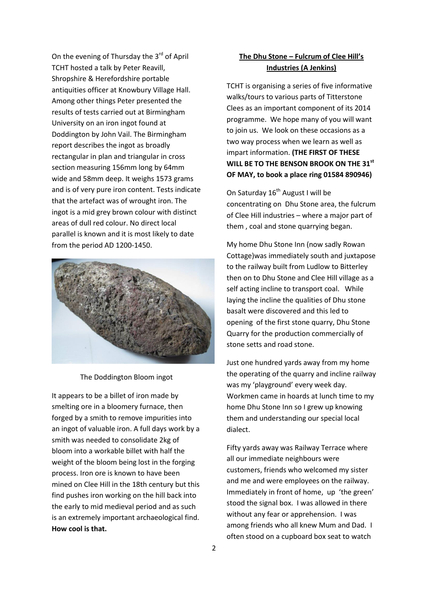On the evening of Thursday the 3<sup>rd</sup> of April TCHT hosted a talk by Peter Reavill, Shropshire & Herefordshire portable antiquities officer at Knowbury Village Hall. Among other things Peter presented the results of tests carried out at Birmingham University on an iron ingot found at Doddington by John Vail. The Birmingham report describes the ingot as broadly rectangular in plan and triangular in cross section measuring 156mm long by 64mm wide and 58mm deep. It weighs 1573 grams and is of very pure iron content. Tests indicate that the artefact was of wrought iron. The ingot is a mid grey brown colour with distinct areas of dull red colour. No direct local parallel is known and it is most likely to date from the period AD 1200-1450.



#### The Doddington Bloom ingot

It appears to be a billet of iron made by smelting ore in a bloomery furnace, then forged by a smith to remove impurities into an ingot of valuable iron. A full days work by a smith was needed to consolidate 2kg of bloom into a workable billet with half the weight of the bloom being lost in the forging process. Iron ore is known to have been mined on Clee Hill in the 18th century but this find pushes iron working on the hill back into the early to mid medieval period and as such is an extremely important archaeological find. **How cool is that.**

## **The Dhu Stone – Fulcrum of Clee Hill's Industries (A Jenkins)**

TCHT is organising a series of five informative walks/tours to various parts of Titterstone Clees as an important component of its 2014 programme. We hope many of you will want to join us. We look on these occasions as a two way process when we learn as well as impart information. **(THE FIRST OF THESE WILL BE TO THE BENSON BROOK ON THE 31st OF MAY, to book a place ring 01584 890946)**

On Saturday  $16<sup>th</sup>$  August I will be concentrating on Dhu Stone area, the fulcrum of Clee Hill industries – where a major part of them , coal and stone quarrying began.

My home Dhu Stone Inn (now sadly Rowan Cottage)was immediately south and juxtapose to the railway built from Ludlow to Bitterley then on to Dhu Stone and Clee Hill village as a self acting incline to transport coal. While laying the incline the qualities of Dhu stone basalt were discovered and this led to opening of the first stone quarry, Dhu Stone Quarry for the production commercially of stone setts and road stone.

Just one hundred yards away from my home the operating of the quarry and incline railway was my 'playground' every week day. Workmen came in hoards at lunch time to my home Dhu Stone Inn so I grew up knowing them and understanding our special local dialect.

Fifty yards away was Railway Terrace where all our immediate neighbours were customers, friends who welcomed my sister and me and were employees on the railway. Immediately in front of home, up 'the green' stood the signal box. I was allowed in there without any fear or apprehension. I was among friends who all knew Mum and Dad. I often stood on a cupboard box seat to watch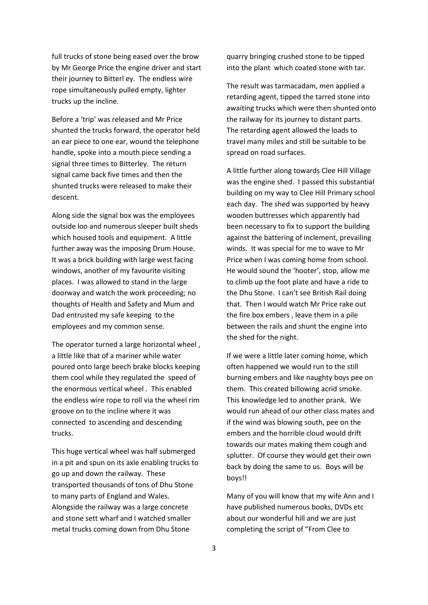full trucks of stone being eased over the brow by Mr George Price the engine driver and start their journey to Bitterl ey. The endless wire rope simultaneously pulled empty, lighter trucks up the incline.

Before a 'trip' was released and Mr Price shunted the trucks forward, the operator held an ear piece to one ear, wound the telephone handle, spoke into a mouth piece sending a signal three times to Bitterley. The return signal came back five times and then the shunted trucks were released to make their descent.

Along side the signal box was the employees outside loo and numerous sleeper built sheds which housed tools and equipment. A little further away was the imposing Drum House. It was a brick building with large west facing windows, another of my favourite visiting places. I was allowed to stand in the large doorway and watch the work proceeding; no thoughts of Health and Safety and Mum and Dad entrusted my safe keeping to the employees and my common sense.

The operator turned a large horizontal wheel , a little like that of a mariner while water poured onto large beech brake blocks keeping them cool while they regulated the speed of the enormous vertical wheel . This enabled the endless wire rope to roll via the wheel rim groove on to the incline where it was connected to ascending and descending trucks.

This huge vertical wheel was half submerged in a pit and spun on its axle enabling trucks to go up and down the railway. These transported thousands of tons of Dhu Stone to many parts of England and Wales. Alongside the railway was a large concrete and stone sett wharf and I watched smaller metal trucks coming down from Dhu Stone

quarry bringing crushed stone to be tipped into the plant which coated stone with tar.

The result was tarmacadam, men applied a retarding agent, tipped the tarred stone into awaiting trucks which were then shunted onto the railway for its journey to distant parts. The retarding agent allowed the loads to travel many miles and still be suitable to be spread on road surfaces.

A little further along towards Clee Hill Village was the engine shed. I passed this substantial building on my way to Clee Hill Primary school each day. The shed was supported by heavy wooden buttresses which apparently had been necessary to fix to support the building against the battering of inclement, prevailing winds. It was special for me to wave to Mr Price when I was coming home from school. He would sound the 'hooter', stop, allow me to climb up the foot plate and have a ride to the Dhu Stone. I can't see British Rail doing that. Then I would watch Mr Price rake out the fire box embers , leave them in a pile between the rails and shunt the engine into the shed for the night.

If we were a little later coming home, which often happened we would run to the still burning embers and like naughty boys pee on them. This created billowing acrid smoke. This knowledge led to another prank. We would run ahead of our other class mates and if the wind was blowing south, pee on the embers and the horrible cloud would drift towards our mates making them cough and splutter. Of course they would get their own back by doing the same to us. Boys will be boys!!

Many of you will know that my wife Ann and I have published numerous books, DVDs etc about our wonderful hill and we are just completing the script of "From Clee to